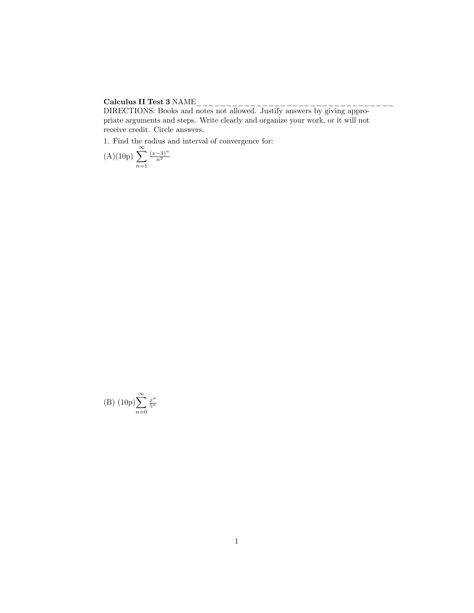## Calculus II Test 3 NAME\_\_\_\_\_\_\_\_\_\_\_\_\_\_\_\_\_\_\_\_\_\_\_\_\_\_\_\_\_\_\_\_\_

DIRECTIONS: Books and notes not allowed. Justify answers by giving appropriate arguments and steps. Write clearly and organize your work, or it will not receive credit. Circle answers.

1. Find the radius and interval of convergence for:

(A)(10p) 
$$
\sum_{n=1}^{\infty} \frac{(x-3)^n}{n^2}
$$

(B) 
$$
(10p)\sum_{n=0}^{\infty} \frac{x^n}{5^n}
$$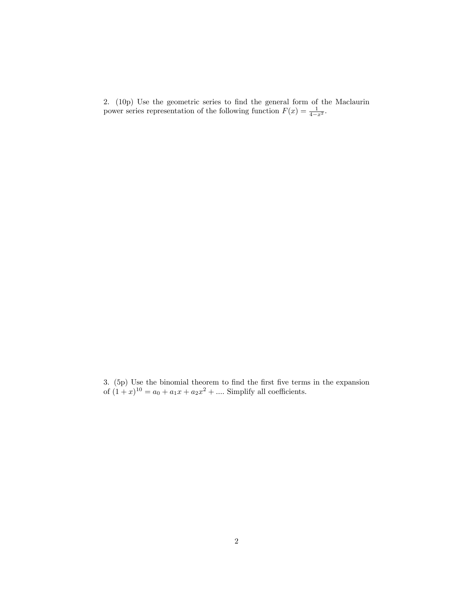2. (10p) Use the geometric series to find the general form of the Maclaurin power series representation of the following function  $F(x) = \frac{1}{4-x^2}$ .

3. (5p) Use the binomial theorem to find the first five terms in the expansion of  $(1+x)^{10} = a_0 + a_1x + a_2x^2 + \dots$  Simplify all coefficients.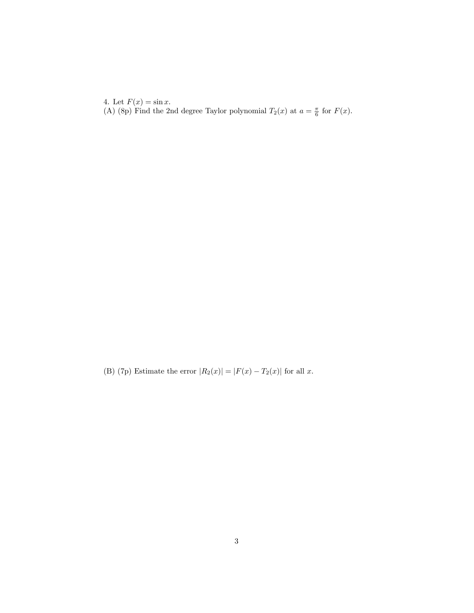4. Let  $F(x) = \sin x$ . (A) (8p) Find the 2nd degree Taylor polynomial  $T_2(x)$  at  $a = \frac{\pi}{6}$  for  $F(x)$ .

(B) (7p) Estimate the error  $|R_2(x)| = |F(x) - T_2(x)|$  for all x.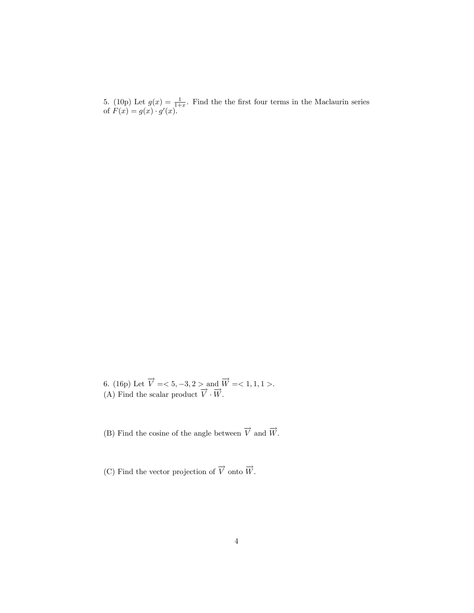5. (10p) Let  $g(x) = \frac{1}{1+x}$ . Find the the first four terms in the Maclaurin series of  $F(x) = g(x) \cdot g'(x)$ .

6. (16p) Let  $\overrightarrow{V}$  = < 5, -3, 2 > and  $\overrightarrow{W}$  = < 1, 1, 1 >. (A) Find the scalar product  $\overrightarrow{V} \cdot \overrightarrow{W}$ .

(B) Find the cosine of the angle between  $\overrightarrow{V}$  and  $\overrightarrow{W}$  .

(C) Find the vector projection of  $\overrightarrow{V}$  onto  $\overrightarrow{W}$ .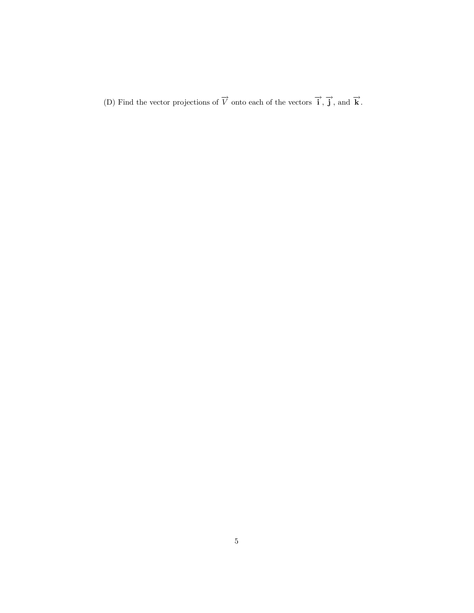(D) Find the vector projections of  $\overrightarrow{V}$  onto each of the vectors  $\overrightarrow{i}$ ,  $\overrightarrow{j}$ , and  $\overrightarrow{k}$ .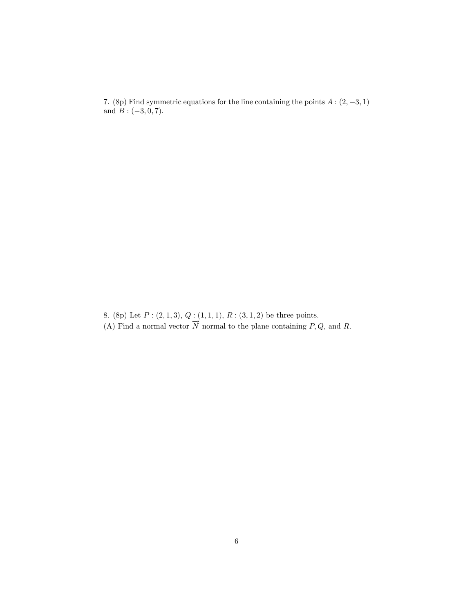7. (8p) Find symmetric equations for the line containing the points  $A:(2, -3, 1)$ and  $B: (-3, 0, 7)$ .

8. (8p) Let  $P: (2,1,3), Q: (1,1,1), R: (3,1,2)$  be three points. (A) Find a normal vector  $\overrightarrow{N}$  normal to the plane containing P, Q, and R.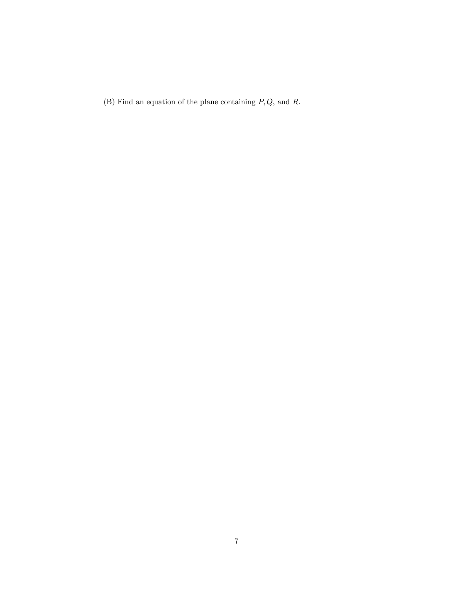(B) Find an equation of the plane containing  $P,Q,$  and  $R.$